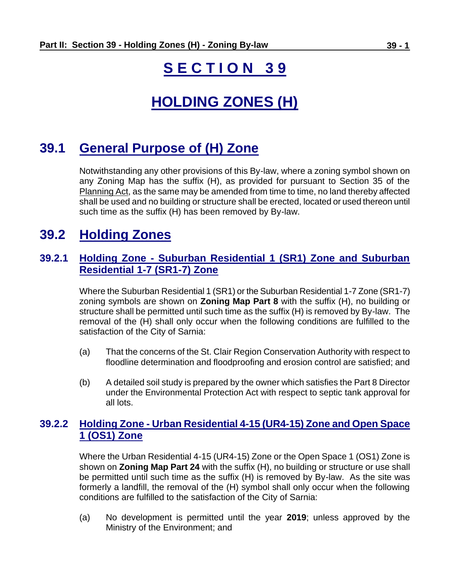# **S E C T I O N 3 9**

# **HOLDING ZONES (H)**

## **39.1 General Purpose of (H) Zone**

Notwithstanding any other provisions of this By-law, where a zoning symbol shown on any Zoning Map has the suffix (H), as provided for pursuant to Section 35 of the Planning Act, as the same may be amended from time to time, no land thereby affected shall be used and no building or structure shall be erected, located or used thereon until such time as the suffix (H) has been removed by By-law.

## **39.2 Holding Zones**

#### **39.2.1 Holding Zone - Suburban Residential 1 (SR1) Zone and Suburban Residential 1-7 (SR1-7) Zone**

Where the Suburban Residential 1 (SR1) or the Suburban Residential 1-7 Zone (SR1-7) zoning symbols are shown on **Zoning Map Part 8** with the suffix (H), no building or structure shall be permitted until such time as the suffix (H) is removed by By-law. The removal of the (H) shall only occur when the following conditions are fulfilled to the satisfaction of the City of Sarnia:

- (a) That the concerns of the St. Clair Region Conservation Authority with respect to floodline determination and floodproofing and erosion control are satisfied; and
- (b) A detailed soil study is prepared by the owner which satisfies the Part 8 Director under the Environmental Protection Act with respect to septic tank approval for all lots.

#### **39.2.2 Holding Zone - Urban Residential 4-15 (UR4-15) Zone and Open Space 1 (OS1) Zone**

Where the Urban Residential 4-15 (UR4-15) Zone or the Open Space 1 (OS1) Zone is shown on **Zoning Map Part 24** with the suffix (H), no building or structure or use shall be permitted until such time as the suffix (H) is removed by By-law. As the site was formerly a landfill, the removal of the (H) symbol shall only occur when the following conditions are fulfilled to the satisfaction of the City of Sarnia:

(a) No development is permitted until the year **2019**; unless approved by the Ministry of the Environment; and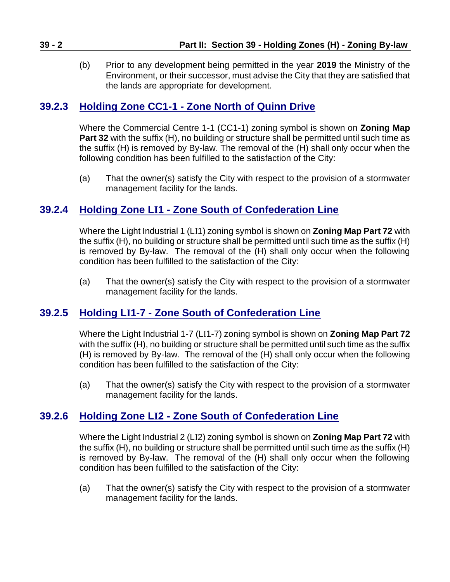(b) Prior to any development being permitted in the year **2019** the Ministry of the Environment, or their successor, must advise the City that they are satisfied that the lands are appropriate for development.

#### **39.2.3 Holding Zone CC1-1 - Zone North of Quinn Drive**

Where the Commercial Centre 1-1 (CC1-1) zoning symbol is shown on **Zoning Map Part 32** with the suffix (H), no building or structure shall be permitted until such time as the suffix (H) is removed by By-law. The removal of the (H) shall only occur when the following condition has been fulfilled to the satisfaction of the City:

(a) That the owner(s) satisfy the City with respect to the provision of a stormwater management facility for the lands.

### **39.2.4 Holding Zone LI1 - Zone South of Confederation Line**

Where the Light Industrial 1 (LI1) zoning symbol is shown on **Zoning Map Part 72** with the suffix (H), no building or structure shall be permitted until such time as the suffix (H) is removed by By-law. The removal of the (H) shall only occur when the following condition has been fulfilled to the satisfaction of the City:

(a) That the owner(s) satisfy the City with respect to the provision of a stormwater management facility for the lands.

#### **39.2.5 Holding LI1-7 - Zone South of Confederation Line**

Where the Light Industrial 1-7 (LI1-7) zoning symbol is shown on **Zoning Map Part 72** with the suffix (H), no building or structure shall be permitted until such time as the suffix (H) is removed by By-law. The removal of the (H) shall only occur when the following condition has been fulfilled to the satisfaction of the City:

(a) That the owner(s) satisfy the City with respect to the provision of a stormwater management facility for the lands.

#### **39.2.6 Holding Zone LI2 - Zone South of Confederation Line**

Where the Light Industrial 2 (LI2) zoning symbol is shown on **Zoning Map Part 72** with the suffix (H), no building or structure shall be permitted until such time as the suffix (H) is removed by By-law. The removal of the (H) shall only occur when the following condition has been fulfilled to the satisfaction of the City:

(a) That the owner(s) satisfy the City with respect to the provision of a stormwater management facility for the lands.